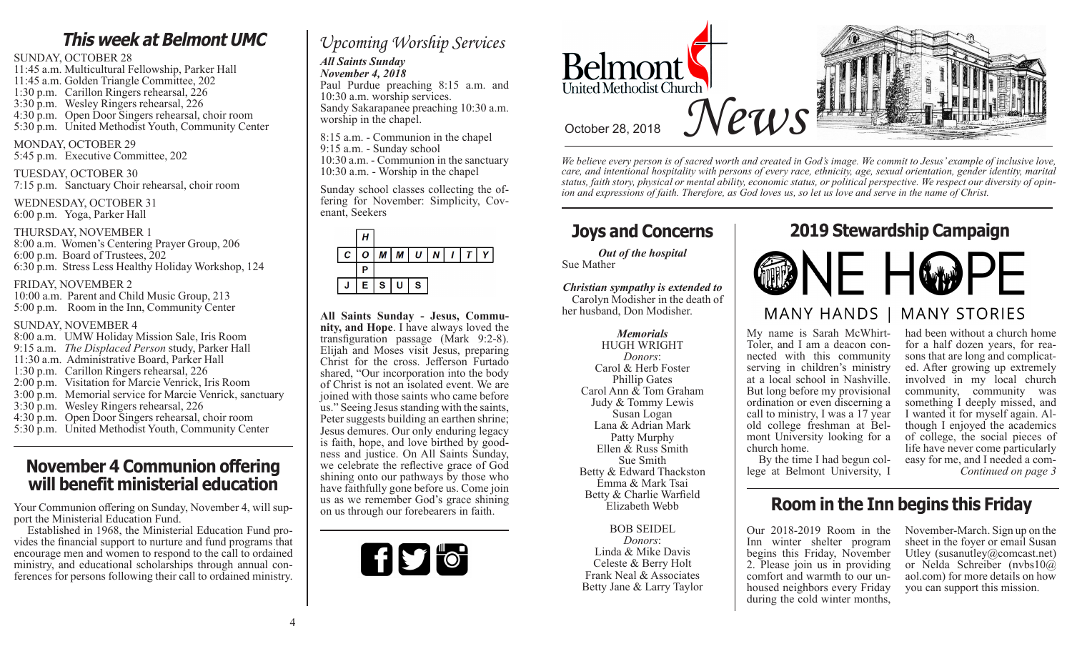# **This week at Belmont UMC**

## SUNDAY, OCTOBER 28

11:45 a.m. Multicultural Fellowship, Parker Hall 11:45 a.m. Golden Triangle Committee, 202 1:30 p.m. Carillon Ringers rehearsal, 226 3:30 p.m. Wesley Ringers rehearsal, 226 4:30 p.m. Open Door Singers rehearsal, choir room 5:30 p.m. United Methodist Youth, Community Center

## MONDAY, OCTOBER 29

5:45 p.m. Executive Committee, 202

#### TUESDAY, OCTOBER 30

7:15 p.m. Sanctuary Choir rehearsal, choir room

WEDNESDAY, OCTOBER 31 6:00 p.m. Yoga, Parker Hall

#### THURSDAY, NOVEMBER 1

8:00 a.m. Women's Centering Prayer Group, 206 6:00 p.m. Board of Trustees, 202 6:30 p.m. Stress Less Healthy Holiday Workshop, 124

#### FRIDAY, NOVEMBER 2

10:00 a.m. Parent and Child Music Group, 213 5:00 p.m. Room in the Inn, Community Center

## SUNDAY, NOVEMBER 4

8:00 a.m. UMW Holiday Mission Sale, Iris Room 9:15 a.m. *The Displaced Person* study, Parker Hall 11:30 a.m. Administrative Board, Parker Hall 1:30 p.m. Carillon Ringers rehearsal, 226 2:00 p.m. Visitation for Marcie Venrick, Iris Room 3:00 p.m. Memorial service for Marcie Venrick, sanctuary 3:30 p.m. Wesley Ringers rehearsal, 226 4:30 p.m. Open Door Singers rehearsal, choir room 5:30 p.m. United Methodist Youth, Community Center

## **November 4 Communion offering will benefit ministerial education**

Your Communion offering on Sunday, November 4, will support the Ministerial Education Fund.

 Established in 1968, the Ministerial Education Fund provides the financial support to nurture and fund programs that encourage men and women to respond to the call to ordained ministry, and educational scholarships through annual conferences for persons following their call to ordained ministry.

# *Upcoming Worship Services*

#### *All Saints Sunday November 4, 2018*

Paul Purdue preaching 8:15 a.m. and 10:30 a.m. worship services. Sandy Sakarapanee preaching 10:30 a.m. worship in the chapel.

8:15 a.m. - Communion in the chapel 9:15 a.m. - Sunday school 10:30 a.m. - Communion in the sanctuary 10:30 a.m. - Worship in the chapel

Sunday school classes collecting the of- fering for November: Simplicity, Cov- enant, Seekers



**All Saints Sunday - Jesus, Community, and Hope**. I have always loved the transfiguration passage (Mark 9:2-8). Elijah and Moses visit Jesus, preparing Christ for the cross. Jefferson Furtado shared, "Our incorporation into the body of Christ is not an isolated event. We are joined with those saints who came before us." Seeing Jesus standing with the saints, Peter suggests building an earthen shrine; Jesus demures. Our only enduring legacy is faith, hope, and love birthed by goodness and justice. On All Saints Sunday, we celebrate the reflective grace of God shining onto our pathways by those who have faithfully gone before us. Come join us as we remember God's grace shining on us through our forebearers in faith.





*We believe every person is of sacred worth and created in God's image. We commit to Jesus' example of inclusive love, care, and intentional hospitality with persons of every race, ethnicity, age, sexual orientation, gender identity, marital status, faith story, physical or mental ability, economic status, or political perspective. We respect our diversity of opinion and expressions of faith. Therefore, as God loves us, so let us love and serve in the name of Christ.*

*Out of the hospital* Sue Mather

*Christian sympathy is extended to* Carolyn Modisher in the death of her husband, Don Modisher.

#### *Memorials* HUGH WRIGHT *Donors*: Carol & Herb Foster Phillip Gates Carol Ann & Tom Graham Judy & Tommy Lewis Susan Logan Lana & Adrian Mark Patty Murphy Ellen & Russ Smith Sue Smith Betty & Edward Thackston Emma & Mark Tsai Betty & Charlie Warfield Elizabeth Webb

#### BOB SEIDEL *Donors*: Linda & Mike Davis

Celeste & Berry Holt Frank Neal & Associates Betty Jane & Larry Taylor

# **Joys and Concerns 2019 Stewardship Campaign**



My name is Sarah McWhirt-Toler, and I am a deacon connected with this community serving in children's ministry at a local school in Nashville. But long before my provisional ordination or even discerning a call to ministry, I was a 17 year old college freshman at Belmont University looking for a church home. By the time I had begun col-

lege at Belmont University, I

had been without a church home for a half dozen years, for reasons that are long and complicated. After growing up extremely involved in my local church community, community was something I deeply missed, and I wanted it for myself again. Although I enjoyed the academics of college, the social pieces of life have never come particularly easy for me, and I needed a com-*Continued on page 3*

# **Room in the Inn begins this Friday**

Our 2018-2019 Room in the Inn winter shelter program begins this Friday, November 2. Please join us in providing comfort and warmth to our unhoused neighbors every Friday during the cold winter months,

November-March. Sign up on the sheet in the foyer or email Susan Utley (susanutley@comcast.net) or Nelda Schreiber (nvbs10@ aol.com) for more details on how you can support this mission.